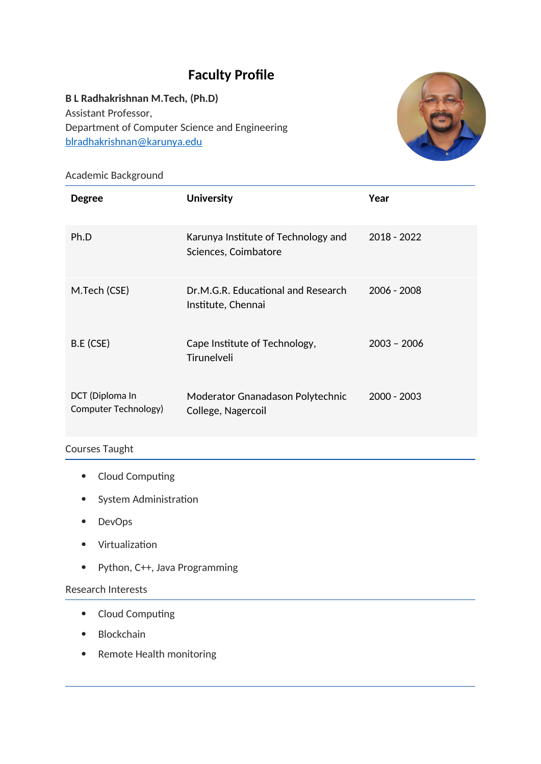# **Faculty Profile**

# **B L Radhakrishnan M.Tech, (Ph.D)** Assistant Professor, Department of Computer Science and Engineering [blradhakrishnan@karunya.edu](mailto:blradhakrishnan@karunya.edu)



### Academic Background

| <b>Degree</b>                           | <b>University</b>                                           | Year          |
|-----------------------------------------|-------------------------------------------------------------|---------------|
| Ph.D                                    | Karunya Institute of Technology and<br>Sciences, Coimbatore | 2018 - 2022   |
| M.Tech (CSE)                            | Dr.M.G.R. Educational and Research<br>Institute, Chennai    | $2006 - 2008$ |
| B.E (CSE)                               | Cape Institute of Technology,<br>Tirunelveli                | $2003 - 2006$ |
| DCT (Diploma In<br>Computer Technology) | Moderator Gnanadason Polytechnic<br>College, Nagercoil      | $2000 - 2003$ |

## Courses Taught

- Cloud Computing
- System Administration
- DevOps
- Virtualization
- Python, C++, Java Programming

#### Research Interests

- Cloud Computing
- Blockchain
- Remote Health monitoring